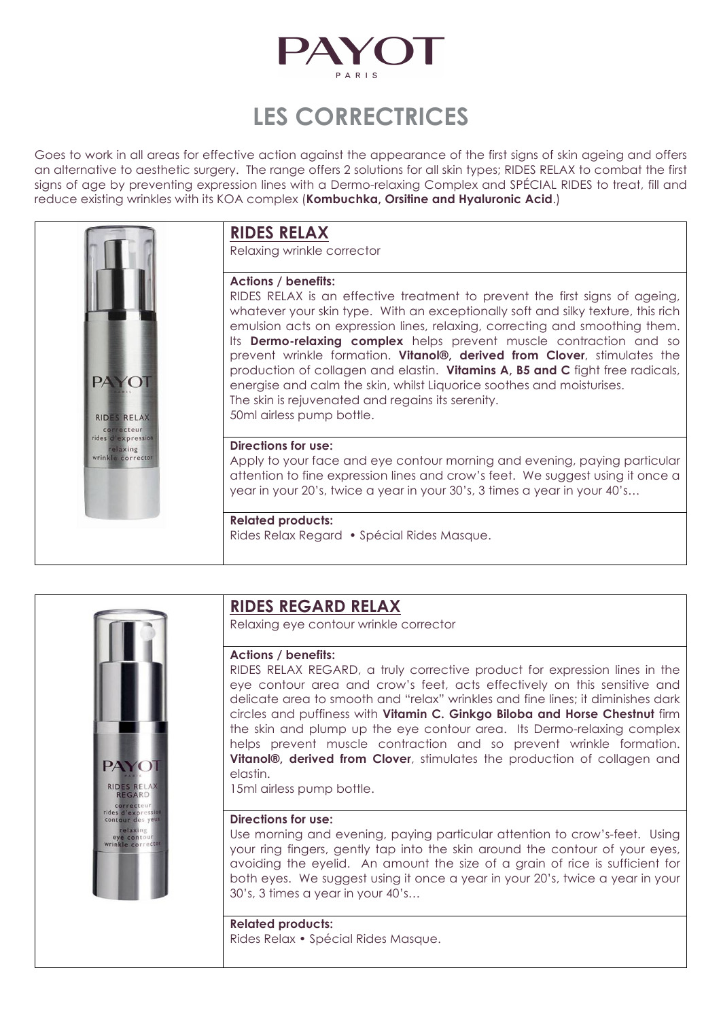

# **LES CORRECTRICES**

Goes to work in all areas for effective action against the appearance of the first signs of skin ageing and offers an alternative to aesthetic surgery. The range offers 2 solutions for all skin types; RIDES RELAX to combat the first signs of age by preventing expression lines with a Dermo-relaxing Complex and SPÉCIAL RIDES to treat, fill and reduce existing wrinkles with its KOA complex (**Kombuchka, Orsitine and Hyaluronic Acid**.)



# **RIDES RELAX**

Relaxing wrinkle corrector

### **Actions / benefits:**

RIDES RELAX is an effective treatment to prevent the first signs of ageing, whatever your skin type. With an exceptionally soft and silky texture, this rich emulsion acts on expression lines, relaxing, correcting and smoothing them. Its **Dermo-relaxing complex** helps prevent muscle contraction and so prevent wrinkle formation. **Vitanol®, derived from Clover**, stimulates the production of collagen and elastin. **Vitamins A, B5 and C** fight free radicals, energise and calm the skin, whilst Liquorice soothes and moisturises. The skin is rejuvenated and regains its serenity. 50ml airless pump bottle.

### **Directions for use:**

Apply to your face and eye contour morning and evening, paying particular attention to fine expression lines and crow's feet. We suggest using it once a year in your 20's, twice a year in your 30's, 3 times a year in your 40's…

### **Related products:**

Rides Relax Regard • Spécial Rides Masque.



### **RIDES REGARD RELAX**

Relaxing eye contour wrinkle corrector

### **Actions / benefits:**

RIDES RELAX REGARD, a truly corrective product for expression lines in the eye contour area and crow's feet, acts effectively on this sensitive and delicate area to smooth and "relax" wrinkles and fine lines; it diminishes dark circles and puffiness with **Vitamin C. Ginkgo Biloba and Horse Chestnut** firm the skin and plump up the eye contour area. Its Dermo-relaxing complex helps prevent muscle contraction and so prevent wrinkle formation. **Vitanol®, derived from Clover**, stimulates the production of collagen and elastin.

15ml airless pump bottle.

### **Directions for use:**

Use morning and evening, paying particular attention to crow's-feet. Using your ring fingers, gently tap into the skin around the contour of your eyes, avoiding the eyelid. An amount the size of a grain of rice is sufficient for both eyes. We suggest using it once a year in your 20's, twice a year in your 30's, 3 times a year in your 40's…

**Related products:** Rides Relax • Spécial Rides Masque.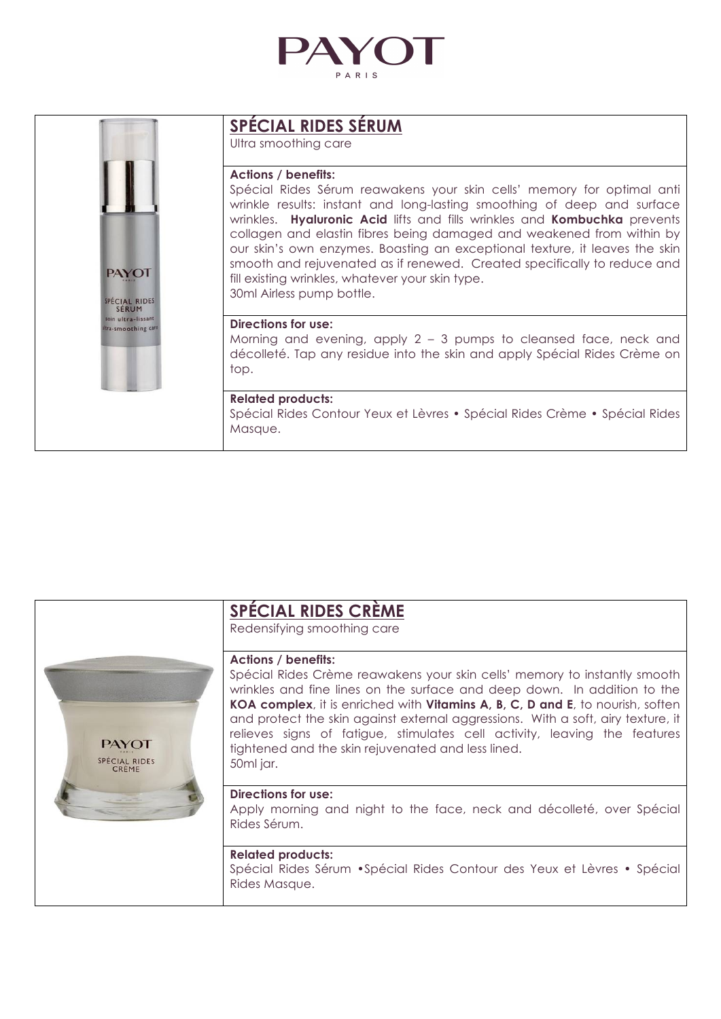

| <b>PAYOT</b><br>SPÉCIAL RIDES<br>SERUM<br>soin ultra-lissant<br>tra-smoothing care | <b>SPÉCIAL RIDES SÉRUM</b><br>Ultra smoothing care                                                                                                                                                                                                                                                                                                                                                                                                                                                                                                                                |
|------------------------------------------------------------------------------------|-----------------------------------------------------------------------------------------------------------------------------------------------------------------------------------------------------------------------------------------------------------------------------------------------------------------------------------------------------------------------------------------------------------------------------------------------------------------------------------------------------------------------------------------------------------------------------------|
|                                                                                    | <b>Actions / benefits:</b><br>Spécial Rides Sérum reawakens your skin cells' memory for optimal anti<br>wrinkle results: instant and long-lasting smoothing of deep and surface<br>wrinkles. Hyaluronic Acid lifts and fills wrinkles and Kombuchka prevents<br>collagen and elastin fibres being damaged and weakened from within by<br>our skin's own enzymes. Boasting an exceptional texture, it leaves the skin<br>smooth and rejuvenated as if renewed. Created specifically to reduce and<br>fill existing wrinkles, whatever your skin type.<br>30ml Airless pump bottle. |
|                                                                                    | Directions for use:<br>Morning and evening, apply $2 - 3$ pumps to cleansed face, neck and<br>décolleté. Tap any residue into the skin and apply Spécial Rides Crème on<br>top.                                                                                                                                                                                                                                                                                                                                                                                                   |
|                                                                                    | <b>Related products:</b><br>Spécial Rides Contour Yeux et Lèvres • Spécial Rides Crème • Spécial Rides<br>Masque.                                                                                                                                                                                                                                                                                                                                                                                                                                                                 |